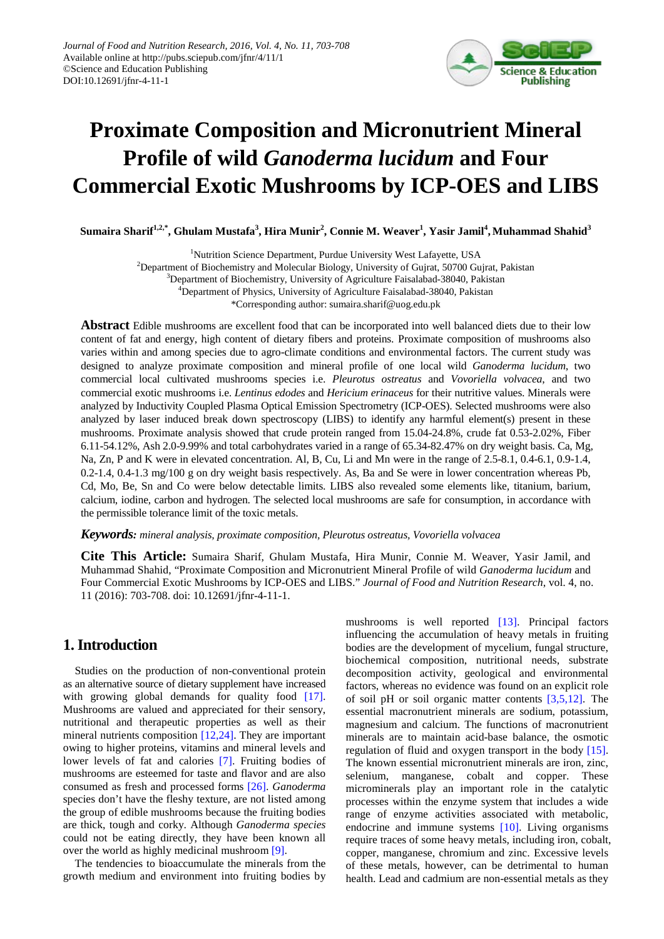

# **Proximate Composition and Micronutrient Mineral Profile of wild** *Ganoderma lucidum* **and Four Commercial Exotic Mushrooms by ICP-OES and LIBS**

**Sumaira Sharif1,2,\* , Ghulam Mustafa<sup>3</sup> , Hira Munir<sup>2</sup> , Connie M. Weaver<sup>1</sup> , Yasir Jamil<sup>4</sup> , Muhammad Shahid<sup>3</sup>**

<sup>1</sup>Nutrition Science Department, Purdue University West Lafayette, USA

<sup>2</sup>Department of Biochemistry and Molecular Biology, University of Gujrat, 50700 Gujrat, Pakistan

<sup>3</sup>Department of Biochemistry, University of Agriculture Faisalabad-38040, Pakistan

4 Department of Physics, University of Agriculture Faisalabad-38040, Pakistan

\*Corresponding author: sumaira.sharif@uog.edu.pk

**Abstract** Edible mushrooms are excellent food that can be incorporated into well balanced diets due to their low content of fat and energy, high content of dietary fibers and proteins. Proximate composition of mushrooms also varies within and among species due to agro-climate conditions and environmental factors. The current study was designed to analyze proximate composition and mineral profile of one local wild *Ganoderma lucidum*, two commercial local cultivated mushrooms species i.e. *Pleurotus ostreatus* and *Vovoriella volvacea*, and two commercial exotic mushrooms i.e. *Lentinus edodes* and *Hericium erinaceus* for their nutritive values. Minerals were analyzed by Inductivity Coupled Plasma Optical Emission Spectrometry (ICP-OES). Selected mushrooms were also analyzed by laser induced break down spectroscopy (LIBS) to identify any harmful element(s) present in these mushrooms. Proximate analysis showed that crude protein ranged from 15.04-24.8%, crude fat 0.53-2.02%, Fiber 6.11-54.12%, Ash 2.0-9.99% and total carbohydrates varied in a range of 65.34-82.47% on dry weight basis. Ca, Mg, Na, Zn, P and K were in elevated concentration. Al, B, Cu, Li and Mn were in the range of 2.5-8.1, 0.4-6.1, 0.9-1.4, 0.2-1.4, 0.4-1.3 mg/100 g on dry weight basis respectively. As, Ba and Se were in lower concentration whereas Pb, Cd, Mo, Be, Sn and Co were below detectable limits. LIBS also revealed some elements like, titanium, barium, calcium, iodine, carbon and hydrogen. The selected local mushrooms are safe for consumption, in accordance with the permissible tolerance limit of the toxic metals.

*Keywords: mineral analysis, proximate composition, Pleurotus ostreatus, Vovoriella volvacea*

**Cite This Article:** Sumaira Sharif, Ghulam Mustafa, Hira Munir, Connie M. Weaver, Yasir Jamil, and Muhammad Shahid, "Proximate Composition and Micronutrient Mineral Profile of wild *Ganoderma lucidum* and Four Commercial Exotic Mushrooms by ICP-OES and LIBS." *Journal of Food and Nutrition Research*, vol. 4, no. 11 (2016): 703-708. doi: 10.12691/jfnr-4-11-1.

## **1. Introduction**

Studies on the production of non-conventional protein as an alternative source of dietary supplement have increased with growing global demands for quality food [\[17\].](#page-5-0) Mushrooms are valued and appreciated for their sensory, nutritional and therapeutic properties as well as their mineral nutrients composition [\[12,24\].](#page-5-1) They are important owing to higher proteins, vitamins and mineral levels and lower levels of fat and calories [\[7\].](#page-5-2) Fruiting bodies of mushrooms are esteemed for taste and flavor and are also consumed as fresh and processed forms [\[26\].](#page-5-3) *Ganoderma* species don't have the fleshy texture, are not listed among the group of edible mushrooms because the fruiting bodies are thick, tough and corky. Although *Ganoderma species* could not be eating directly, they have been known all over the world as highly medicinal mushroo[m \[9\].](#page-5-4)

The tendencies to bioaccumulate the minerals from the growth medium and environment into fruiting bodies by mushrooms is well reported [\[13\].](#page-5-5) Principal factors influencing the accumulation of heavy metals in fruiting bodies are the development of mycelium, fungal structure, biochemical composition, nutritional needs, substrate decomposition activity, geological and environmental factors, whereas no evidence was found on an explicit role of soil pH or soil organic matter contents  $[3,5,12]$ . The essential macronutrient minerals are sodium, potassium, magnesium and calcium. The functions of macronutrient minerals are to maintain acid-base balance, the osmotic regulation of fluid and oxygen transport in the body [\[15\].](#page-5-7) The known essential micronutrient minerals are iron, zinc, selenium, manganese, cobalt and copper. These microminerals play an important role in the catalytic processes within the enzyme system that includes a wide range of enzyme activities associated with metabolic, endocrine and immune systems [\[10\].](#page-5-8) Living organisms require traces of some heavy metals, including iron, cobalt, copper, manganese, chromium and zinc. Excessive levels of these metals, however, can be detrimental to human health. Lead and cadmium are non-essential metals as they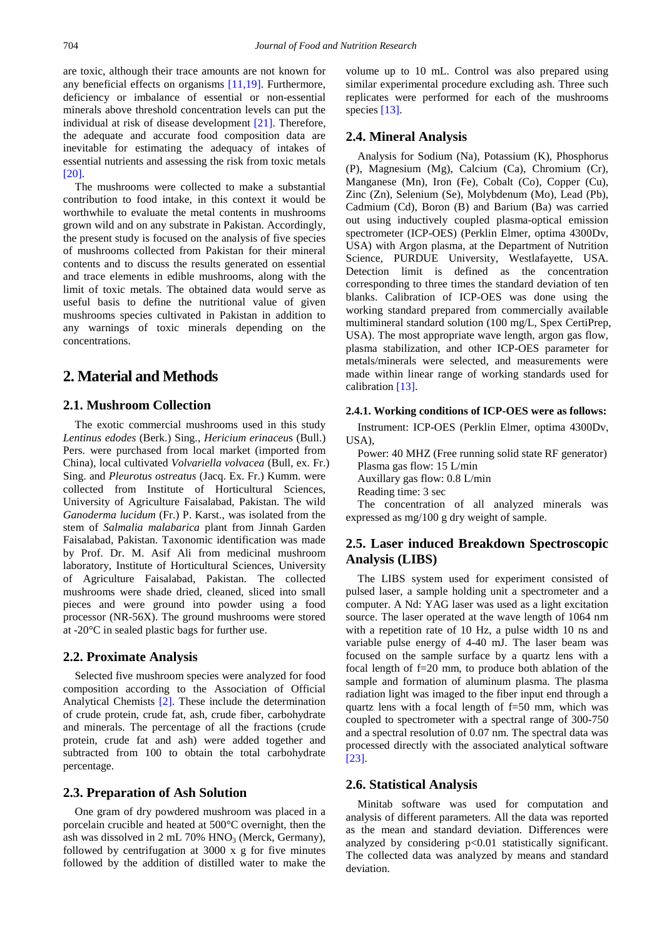are toxic, although their trace amounts are not known for any beneficial effects on organisms [\[11,19\].](#page-5-9) Furthermore, deficiency or imbalance of essential or non-essential minerals above threshold concentration levels can put the individual at risk of disease development [\[21\].](#page-5-10) Therefore, the adequate and accurate food composition data are inevitable for estimating the adequacy of intakes of essential nutrients and assessing the risk from toxic metals [\[20\].](#page-5-11)

The mushrooms were collected to make a substantial contribution to food intake, in this context it would be worthwhile to evaluate the metal contents in mushrooms grown wild and on any substrate in Pakistan. Accordingly, the present study is focused on the analysis of five species of mushrooms collected from Pakistan for their mineral contents and to discuss the results generated on essential and trace elements in edible mushrooms, along with the limit of toxic metals. The obtained data would serve as useful basis to define the nutritional value of given mushrooms species cultivated in Pakistan in addition to any warnings of toxic minerals depending on the concentrations.

## **2. Material and Methods**

#### **2.1. Mushroom Collection**

The exotic commercial mushrooms used in this study *Lentinus edodes* (Berk.) Sing., *Hericium erinaceu*s (Bull.) Pers. were purchased from local market (imported from China), local cultivated *Volvariella volvacea* (Bull, ex. Fr.) Sing. and *Pleurotus ostreatus* (Jacq. Ex. Fr.) Kumm. were collected from Institute of Horticultural Sciences, University of Agriculture Faisalabad, Pakistan. The wild *Ganoderma lucidum* (Fr.) P. Karst., was isolated from the stem of *Salmalia malabarica* plant from Jinnah Garden Faisalabad, Pakistan. Taxonomic identification was made by Prof. Dr. M. Asif Ali from medicinal mushroom laboratory, Institute of Horticultural Sciences, University of Agriculture Faisalabad, Pakistan. The collected mushrooms were shade dried, cleaned, sliced into small pieces and were ground into powder using a food processor (NR-56X). The ground mushrooms were stored at -20°C in sealed plastic bags for further use.

#### **2.2. Proximate Analysis**

Selected five mushroom species were analyzed for food composition according to the Association of Official Analytical Chemists [\[2\].](#page-5-12) These include the determination of crude protein, crude fat, ash, crude fiber, carbohydrate and minerals. The percentage of all the fractions (crude protein, crude fat and ash) were added together and subtracted from 100 to obtain the total carbohydrate percentage.

#### **2.3. Preparation of Ash Solution**

One gram of dry powdered mushroom was placed in a porcelain crucible and heated at 500°C overnight, then the ash was dissolved in  $2 \text{ mL } 70\% \text{ HNO}_3$  (Merck, Germany), followed by centrifugation at 3000 x g for five minutes followed by the addition of distilled water to make the volume up to 10 mL. Control was also prepared using similar experimental procedure excluding ash. Three such replicates were performed for each of the mushrooms specie[s \[13\].](#page-5-5)

#### **2.4. Mineral Analysis**

Analysis for Sodium (Na), Potassium (K), Phosphorus (P), Magnesium (Mg), Calcium (Ca), Chromium (Cr), Manganese (Mn), Iron (Fe), Cobalt (Co), Copper (Cu), Zinc (Zn), Selenium (Se), Molybdenum (Mo), Lead (Pb), Cadmium (Cd), Boron (B) and Barium (Ba) was carried out using inductively coupled plasma-optical emission spectrometer (ICP-OES) (Perklin Elmer, optima 4300Dv, USA) with Argon plasma, at the Department of Nutrition Science, PURDUE University, Westlafayette, USA. Detection limit is defined as the concentration corresponding to three times the standard deviation of ten blanks. Calibration of ICP-OES was done using the working standard prepared from commercially available multimineral standard solution (100 mg/L, Spex CertiPrep, USA). The most appropriate wave length, argon gas flow, plasma stabilization, and other ICP-OES parameter for metals/minerals were selected, and measurements were made within linear range of working standards used for calibration [\[13\].](#page-5-5)

#### **2.4.1. Working conditions of ICP-OES were as follows:**

Instrument: ICP-OES (Perklin Elmer, optima 4300Dv, USA),

Power: 40 MHZ (Free running solid state RF generator) Plasma gas flow: 15 L/min Auxillary gas flow: 0.8 L/min Reading time: 3 sec

The concentration of all analyzed minerals was expressed as mg/100 g dry weight of sample.

## **2.5. Laser induced Breakdown Spectroscopic Analysis (LIBS)**

The LIBS system used for experiment consisted of pulsed laser, a sample holding unit a spectrometer and a computer. A Nd: YAG laser was used as a light excitation source. The laser operated at the wave length of 1064 nm with a repetition rate of 10 Hz, a pulse width 10 ns and variable pulse energy of 4-40 mJ. The laser beam was focused on the sample surface by a quartz lens with a focal length of f=20 mm, to produce both ablation of the sample and formation of aluminum plasma. The plasma radiation light was imaged to the fiber input end through a quartz lens with a focal length of f=50 mm, which was coupled to spectrometer with a spectral range of 300-750 and a spectral resolution of 0.07 nm. The spectral data was processed directly with the associated analytical software [\[23\].](#page-5-13)

#### **2.6. Statistical Analysis**

Minitab software was used for computation and analysis of different parameters. All the data was reported as the mean and standard deviation. Differences were analyzed by considering p<0.01 statistically significant. The collected data was analyzed by means and standard deviation.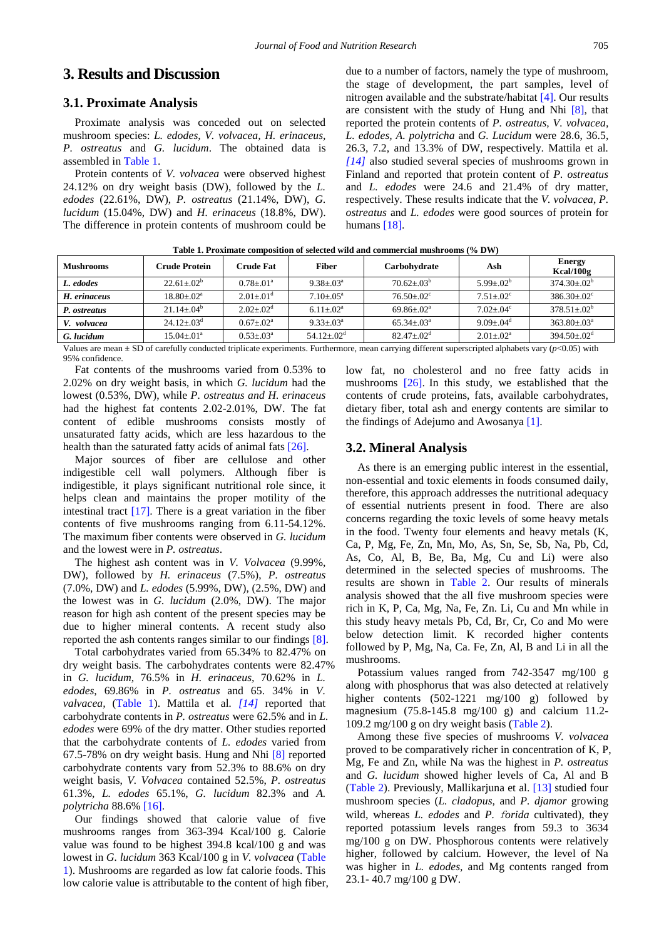## **3. Results and Discussion**

## **3.1. Proximate Analysis**

Proximate analysis was conceded out on selected mushroom species: *L. edodes, V. volvacea, H. erinaceus, P. ostreatus* and *G. lucidum*. The obtained data is assembled in [Table 1.](#page-2-0)

Protein contents of *V. volvacea* were observed highest 24.12% on dry weight basis (DW), followed by the *L. edodes* (22.61%, DW), *P. ostreatus* (21.14%, DW), *G. lucidum* (15.04%, DW) and *H. erinaceus* (18.8%, DW). The difference in protein contents of mushroom could be due to a number of factors, namely the type of mushroom, the stage of development, the part samples, level of nitrogen available and the substrate/habitat [\[4\].](#page-5-14) Our results are consistent with the study of Hung and Nhi [\[8\],](#page-5-15) that reported the protein contents of *P. ostreatus, V. volvacea, L. edodes, A. polytricha* and *G. Lucidum* were 28.6, 36.5, 26.3, 7.2, and 13.3% of DW, respectively. Mattila et al*. [\[14\]](#page-5-16)* also studied several species of mushrooms grown in Finland and reported that protein content of *P. ostreatus*  and *L. edodes* were 24.6 and 21.4% of dry matter, respectively. These results indicate that the *V. volvacea*, *P. ostreatus* and *L. edodes* were good sources of protein for humans [\[18\].](#page-5-17)

<span id="page-2-0"></span>

| <b>Mushrooms</b> | Crude Protein           | Crude Fat             | Fiber                        | Carbohydrate                 | Ash             | <b>Energy</b><br>Kcal/100g |
|------------------|-------------------------|-----------------------|------------------------------|------------------------------|-----------------|----------------------------|
| L. edodes        | $22.61 \div 02^b$       | $0.78 + 01^a$         | $9.38 + 03^a$                | $70.62 \pm .03^{b}$          | $5.99 + 02^{b}$ | $374.30 \div 02^b$         |
| H. erinaceus     | $18.80 \div 02^a$       | $2.01 \pm 01^{\rm d}$ | $7.10 + 0.5^{\circ}$         | $76.50 + 02^{\circ}$         | $7.51 + .02^c$  | $386.30 \div 02^{\circ}$   |
| P. ostreatus     | $21.14 + .04^b$         | $2.02 + 0.02^d$       | $6.11 \pm .02^a$             | $69.86 \pm .02^{\circ}$      | $7.02 + .04$ °  | $378.51 \div 02^b$         |
| V. volvacea      | $24.12 \pm .03^{\circ}$ | $0.67 + 0.02^a$       | $9.33 + 0.3^a$               | $65.34 \pm 03^{\circ}$       | $9.09 + 0.04^d$ | $363.80 \div 03^{\circ}$   |
| G. lucidum       | $15.04 \pm 01^{\circ}$  | $0.53 + 0.3^a$        | $54.12 \pm .02^{\mathrm{d}}$ | $82.47 \pm .02^{\mathrm{d}}$ | $2.01 + .02^a$  | $394.50 + 02^d$            |

**Table 1. Proximate composition of selected wild and commercial mushrooms (% DW)**

Values are mean ± SD of carefully conducted triplicate experiments. Furthermore, mean carrying different superscripted alphabets vary (*p*<0.05) with 95% confidence.

Fat contents of the mushrooms varied from 0.53% to 2.02% on dry weight basis, in which *G. lucidum* had the lowest (0.53%, DW), while *P. ostreatus and H. erinaceus*  had the highest fat contents 2.02-2.01%, DW. The fat content of edible mushrooms consists mostly of unsaturated fatty acids, which are less hazardous to the health than the saturated fatty acids of animal fats [\[26\].](#page-5-3)

Major sources of fiber are cellulose and other indigestible cell wall polymers. Although fiber is indigestible, it plays significant nutritional role since, it helps clean and maintains the proper motility of the intestinal tract [\[17\].](#page-5-0) There is a great variation in the fiber contents of five mushrooms ranging from 6.11-54.12%. The maximum fiber contents were observed in *G. lucidum* and the lowest were in *P. ostreatus*.

The highest ash content was in *V. Volvacea* (9.99%, DW), followed by *H. erinaceus* (7.5%), *P. ostreatus*  (7.0%, DW) and *L. edodes* (5.99%, DW), (2.5%, DW) and the lowest was in *G. lucidum* (2.0%, DW). The major reason for high ash content of the present species may be due to higher mineral contents. A recent study also reported the ash contents ranges similar to our findings [\[8\].](#page-5-15)

Total carbohydrates varied from 65.34% to 82.47% on dry weight basis. The carbohydrates contents were 82.47% in *G. lucidum,* 76.5% in *H. erinaceus,* 70.62% in *L. edodes*, 69.86% in *P. ostreatus* and 65. 34% in *V. valvacea,* [\(Table 1\)](#page-2-0). Mattila et al*. [\[14\]](#page-5-16)* reported that carbohydrate contents in *P. ostreatus* were 62.5% and in *L. edodes* were 69% of the dry matter. Other studies reported that the carbohydrate contents of *L. edodes* varied from 67.5-78% on dry weight basis. Hung and Nhi [\[8\]](#page-5-15) reported carbohydrate contents vary from 52.3% to 88.6% on dry weight basis, *V. Volvacea* contained 52.5%, *P. ostreatus* 61.3%, *L. edodes* 65.1%, *G. lucidum* 82.3% and *A. polytricha* 88.6[% \[16\].](#page-5-18) 

Our findings showed that calorie value of five mushrooms ranges from 363-394 Kcal/100 g. Calorie value was found to be highest 394.8 kcal/100 g and was lowest in *G. lucidum* 363 Kcal/100 g in *V. volvacea* [\(Table](#page-2-0)  [1\)](#page-2-0). Mushrooms are regarded as low fat calorie foods. This low calorie value is attributable to the content of high fiber, low fat, no cholesterol and no free fatty acids in mushrooms [\[26\].](#page-5-3) In this study, we established that the contents of crude proteins, fats, available carbohydrates, dietary fiber, total ash and energy contents are similar to the findings of Adejumo and Awosanya [\[1\].](#page-5-19)

#### **3.2. Mineral Analysis**

As there is an emerging public interest in the essential, non-essential and toxic elements in foods consumed daily, therefore, this approach addresses the nutritional adequacy of essential nutrients present in food. There are also concerns regarding the toxic levels of some heavy metals in the food. Twenty four elements and heavy metals (K, Ca, P, Mg, Fe, Zn, Mn, Mo, As, Sn, Se, Sb, Na, Pb, Cd, As, Co, Al, B, Be, Ba, Mg, Cu and Li) were also determined in the selected species of mushrooms. The results are shown in [Table 2.](#page-3-0) Our results of minerals analysis showed that the all five mushroom species were rich in K, P, Ca, Mg, Na, Fe, Zn. Li, Cu and Mn while in this study heavy metals Pb, Cd, Br, Cr, Co and Mo were below detection limit. K recorded higher contents followed by P, Mg, Na, Ca. Fe, Zn, Al, B and Li in all the mushrooms.

Potassium values ranged from 742-3547 mg/100 g along with phosphorus that was also detected at relatively higher contents (502-1221 mg/100 g) followed by magnesium (75.8-145.8 mg/100 g) and calcium 11.2- 109.2 mg/100 g on dry weight basis [\(Table 2\)](#page-3-0).

Among these five species of mushrooms *V. volvacea* proved to be comparatively richer in concentration of K, P, Mg, Fe and Zn, while Na was the highest in *P. ostreatus* and *G. lucidum* showed higher levels of Ca, Al and B [\(Table 2\)](#page-3-0). Previously, Mallikarjuna et al. [\[13\]](#page-5-5) studied four mushroom species (*L. cladopus,* and *P. djamor* growing wild, whereas *L. edodes* and *P. forida* cultivated), they reported potassium levels ranges from 59.3 to 3634 mg/100 g on DW. Phosphorous contents were relatively higher, followed by calcium. However, the level of Na was higher in *L. edodes,* and Mg contents ranged from 23.1- 40.7 mg/100 g DW.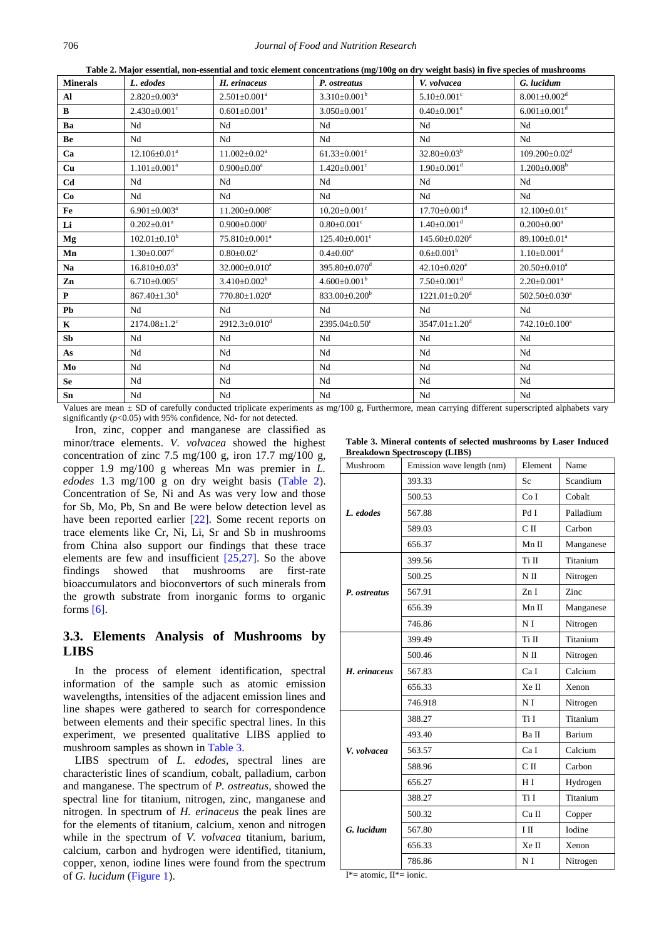o/100ø on dry weight hasis) in five snecie Table 2. Major essential, non-essential and toxic

<span id="page-3-0"></span>

| <b>Minerals</b>   | L. edodes                      | таже 2. мајот езмина, пон-езминатана оже степене соцеститановз (mg/roog on ary weight <i>basis)</i> нгите species от masin ooms<br>H. erinaceus | P. ostreatus                    | V. volvacea                                                                                                    | G. lucidum                      |
|-------------------|--------------------------------|-------------------------------------------------------------------------------------------------------------------------------------------------|---------------------------------|----------------------------------------------------------------------------------------------------------------|---------------------------------|
| $\mathbf{A}$      | $2.820 \pm 0.003$ <sup>a</sup> | $2.501 \pm 0.001^a$                                                                                                                             | $3.310\pm0.001^b$               | $5.10 \pm 0.001$ <sup>c</sup>                                                                                  | $8.001 \pm 0.002$ <sup>d</sup>  |
| $\bf{B}$          | $2.430 \pm 0.001$ <sup>c</sup> | $0.601 \pm 0.001^a$                                                                                                                             | $3.050\pm0.001^{\circ}$         | $0.40 \pm 0.001^a$                                                                                             | $6.001 \pm 0.001$ <sup>d</sup>  |
| Ba                | Nd                             | Nd                                                                                                                                              | Nd                              | Nd                                                                                                             | Nd                              |
| Be                | Nd                             | Nd                                                                                                                                              | Nd                              | Nd                                                                                                             | Nd                              |
| Ca                | $12.106 \pm 0.01^a$            | $11.002 \pm 0.02^a$                                                                                                                             | $61.33 \pm 0.001$ <sup>c</sup>  | $32.80 \pm 0.03^b$                                                                                             | $109.200 \pm 0.02$ <sup>d</sup> |
| Cu                | $1.101 \pm 0.001^a$            | $0.900 \pm 0.00^a$                                                                                                                              | $1.420 \pm 0.001$ <sup>c</sup>  | $1.90 \pm 0.001$ <sup>d</sup>                                                                                  | $1.200 \pm 0.008^b$             |
| Cd                | Nd                             | Nd                                                                                                                                              | Nd                              | Nd                                                                                                             | Nd                              |
| Co                | Nd                             | Nd                                                                                                                                              | Nd                              | Nd                                                                                                             | Nd                              |
| Fe                | $6.901 \pm 0.003$ <sup>a</sup> | $11.200 \pm 0.008$ <sup>c</sup>                                                                                                                 | $10.20 \pm 0.001$ <sup>c</sup>  | $17.70 \pm 0.001$ <sup>d</sup>                                                                                 | $12.100 \pm 0.01$ <sup>c</sup>  |
| Li                | $0.202 \pm 0.01^a$             | $0.900 \pm 0.000$ <sup>c</sup>                                                                                                                  | $0.80 \pm 0.001$ <sup>c</sup>   | $1.40 \pm 0.001$ <sup>d</sup>                                                                                  | $0.200 \pm 0.00^a$              |
| Mg                | $102.01 \pm 0.10^b$            | $75.810\pm0.001^a$                                                                                                                              | $125.40 \pm 0.001$ <sup>c</sup> | $145.60 \pm 0.020$ <sup>d</sup>                                                                                | $89.100 \pm 0.01^a$             |
| Mn                | $1.30 \pm 0.007$ <sup>d</sup>  | $0.80 \pm 0.02$ <sup>c</sup>                                                                                                                    | $0.4 \pm 0.00^a$                | $0.6 \pm 0.001^b$                                                                                              | $1.10 \pm 0.001$ <sup>d</sup>   |
| Na                | $16.810\pm0.03^a$              | 32.000±0.010 <sup>a</sup>                                                                                                                       | $395.80 \pm 0.070$ <sup>d</sup> | $42.10 \pm 0.020$ <sup>a</sup>                                                                                 | $20.50 \pm 0.010^a$             |
| Zn                | $6.710 \pm 0.005$ <sup>c</sup> | $3.410\pm0.002^b$                                                                                                                               | $4.600\pm0.001^{\rm b}$         | $7.50 \pm 0.001$ <sup>d</sup>                                                                                  | $2.20 \pm 0.001^a$              |
| $\mathbf P$       | $867.40 \pm 1.30^b$            | 770.80±1.020 <sup>a</sup>                                                                                                                       | $833.00 \pm 0.200^b$            | $1221.01 \pm 0.20$ <sup>d</sup>                                                                                | 502.50±0.030 <sup>a</sup>       |
| Pb                | Nd                             | Nd                                                                                                                                              | Nd                              | Nd                                                                                                             | Nd                              |
| $\bf K$           | $2174.08 \pm 1.2$ <sup>c</sup> | $2912.3 \pm 0.010^d$                                                                                                                            | $2395.04 \pm 0.50$ <sup>c</sup> | $3547.01 \pm 1.20$ <sup>d</sup>                                                                                | $742.10\pm0.100^a$              |
| S <sub>b</sub>    | Nd                             | Nd                                                                                                                                              | Nd                              | Nd                                                                                                             | Nd                              |
| As                | Nd                             | Nd                                                                                                                                              | Nd                              | Nd                                                                                                             | Nd                              |
| Mo                | Nd                             | Nd                                                                                                                                              | Nd                              | Nd                                                                                                             | Nd                              |
| ${\bf Se}$        | Nd                             | Nd                                                                                                                                              | Nd                              | Nd                                                                                                             | Nd                              |
| Sn                | Nd                             | Nd                                                                                                                                              | Nd                              | Nd                                                                                                             | Nd                              |
| $X^T - 1 - 1 = 0$ |                                |                                                                                                                                                 |                                 | and a community of the community of the context of the context of the context of the context of the context of |                                 |

Values are mean ± SD of carefully conducted triplicate experiments as mg/100 g, Furthermore, mean carrying different superscripted alphabets vary significantly ( $p$ <0.05) with 95% confidence, Nd- for not detected.

Iron, zinc, copper and manganese are classified as minor/trace elements. V. volvacea showed the highest concentration of zinc  $7.5 \text{ mg}/100 \text{ g}$ , iron  $17.7 \text{ mg}/100 \text{ g}$ , copper 1.9 mg/100 g whereas Mn was premier in  $L$ . edodes 1.3 mg/100 g on dry weight basis (Table 2). Concentration of Se, Ni and As was very low and those for Sb, Mo, Pb, Sn and Be were below detection level as have been reported earlier  $[22]$ . Some recent reports on trace elements like Cr. Ni. Li. Sr and Sb in mushrooms from China also support our findings that these trace elements are few and insufficient  $[25,27]$ . So the above showed that mushrooms are findings first-rate bioaccumulators and bioconvertors of such minerals from the growth substrate from inorganic forms to organic forms  $[6]$ .

## 3.3. Elements Analysis of Mushrooms by **LIBS**

In the process of element identification, spectral information of the sample such as atomic emission wavelengths, intensities of the adjacent emission lines and line shapes were gathered to search for correspondence between elements and their specific spectral lines. In this experiment, we presented qualitative LIBS applied to mushroom samples as shown in Table 3.

LIBS spectrum of *L. edodes*, spectral lines are characteristic lines of scandium, cobalt, palladium, carbon and manganese. The spectrum of P. ostreatus, showed the spectral line for titanium, nitrogen, zinc, manganese and nitrogen. In spectrum of  $H$ , erinaceus the peak lines are for the elements of titanium, calcium, xenon and nitrogen while in the spectrum of *V. volvacea* titanium, barium, calcium, carbon and hydrogen were identified, titanium, copper, xenon, iodine lines were found from the spectrum of G. lucidum (Figure 1).

Table 3. Mineral contents of selected mushrooms by Laser Induced **Breakdown Spectroscopy (LIBS)** 

<span id="page-3-1"></span>

| Mushroom     | Emission wave length (nm) |                | Name      |
|--------------|---------------------------|----------------|-----------|
|              | 393.33                    | Sc             | Scandium  |
|              | 500.53                    | Co I           | Cobalt    |
| L. edodes    | 567.88                    | Pd I           | Palladium |
|              | 589.03                    | C II           | Carbon    |
|              | 656.37                    | Mn II          | Manganese |
|              | 399.56                    | Ti II          | Titanium  |
|              | 500.25                    | $N$ II         | Nitrogen  |
| P. ostreatus | 567.91                    | Zn I           | Zinc      |
|              | 656.39                    | Mn II          | Manganese |
|              | 746.86                    | N I            | Nitrogen  |
|              | 399.49                    | Ti II          | Titanium  |
|              | 500.46                    | $N$ II         | Nitrogen  |
| H. erinaceus | 567.83                    | Ca I           | Calcium   |
|              | 656.33                    | Xe II          | Xenon     |
|              | 746.918                   | N I            | Nitrogen  |
|              | 388.27                    | Ti I           | Titanium  |
|              | 493.40                    | Ba II          | Barium    |
| V. volvacea  | 563.57                    | Ca I           | Calcium   |
|              | 588.96                    | C <sub>H</sub> | Carbon    |
|              | 656.27                    | H I            | Hydrogen  |
|              | 388.27                    | Ti I           | Titanium  |
|              | 500.32                    | $Cu$ $II$      | Copper    |
| G. lucidum   | 567.80                    | ΙП             | Iodine    |
|              | 656.33                    | Xe II          | Xenon     |
|              | 786.86                    | N <sub>I</sub> | Nitrogen  |

 $I^*$  = atomic.  $II^*$  = ionic.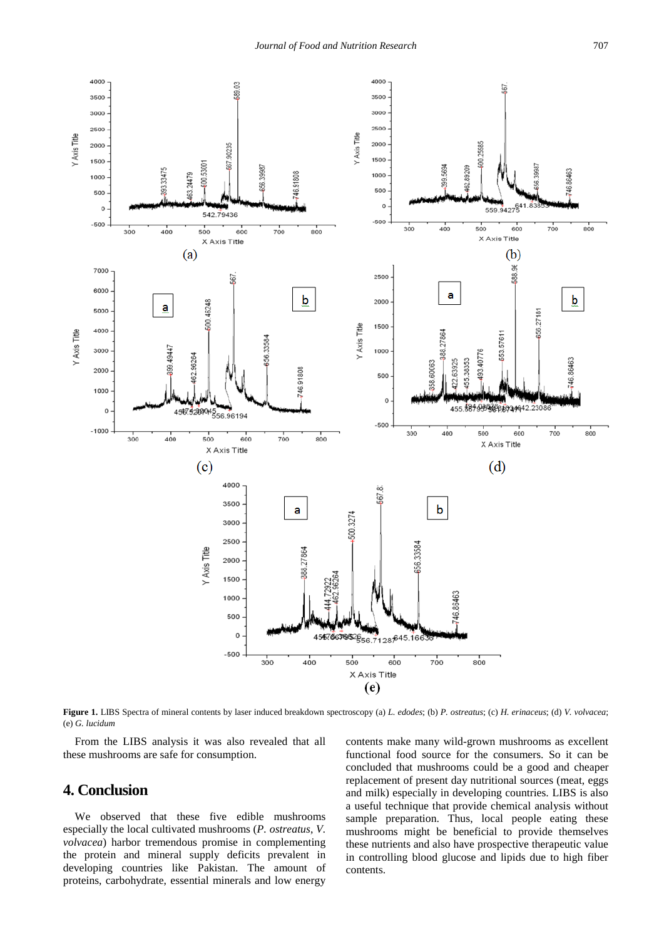<span id="page-4-0"></span>

**Figure 1.** LIBS Spectra of mineral contents by laser induced breakdown spectroscopy (a) *L. edodes*; (b) *P. ostreatus*; (c) *H. erinaceus*; (d) *V. volvacea*; (e) *G. lucidum*

From the LIBS analysis it was also revealed that all these mushrooms are safe for consumption.

## **4. Conclusion**

We observed that these five edible mushrooms especially the local cultivated mushrooms (*P. ostreatus*, *V. volvacea*) harbor tremendous promise in complementing the protein and mineral supply deficits prevalent in developing countries like Pakistan. The amount of proteins, carbohydrate, essential minerals and low energy

contents make many wild-grown mushrooms as excellent functional food source for the consumers. So it can be concluded that mushrooms could be a good and cheaper replacement of present day nutritional sources (meat, eggs and milk) especially in developing countries. LIBS is also a useful technique that provide chemical analysis without sample preparation. Thus, local people eating these mushrooms might be beneficial to provide themselves these nutrients and also have prospective therapeutic value in controlling blood glucose and lipids due to high fiber contents.